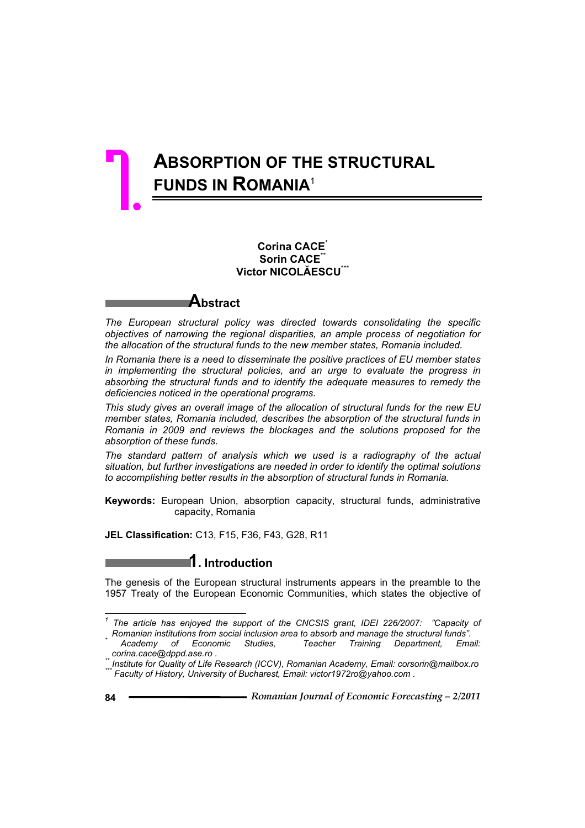# **ABSORPTION OF THE STRUCTURAL FUNDS IN ROMANIA**<sup>1</sup> 7.

# **Corina CACE**\* **Sorin CACE**\*\* **Victor NICOLĂESCU**\*\*\*

# **Abstract**

*The European structural policy was directed towards consolidating the specific objectives of narrowing the regional disparities, an ample process of negotiation for the allocation of the structural funds to the new member states, Romania included.* 

*In Romania there is a need to disseminate the positive practices of EU member states in implementing the structural policies, and an urge to evaluate the progress in absorbing the structural funds and to identify the adequate measures to remedy the deficiencies noticed in the operational programs.* 

*This study gives an overall image of the allocation of structural funds for the new EU member states, Romania included, describes the absorption of the structural funds in Romania in 2009 and reviews the blockages and the solutions proposed for the absorption of these funds.* 

*The standard pattern of analysis which we used is a radiography of the actual situation, but further investigations are needed in order to identify the optimal solutions to accomplishing better results in the absorption of structural funds in Romania.* 

**Keywords:** European Union, absorption capacity, structural funds, administrative capacity, Romania

**JEL Classification:** C13, F15, F36, F43, G28, R11

# **1. Introduction**

The genesis of the European structural instruments appears in the preamble to the 1957 Treaty of the European Economic Communities, which states the objective of

 $\overline{a}$ 

*<sup>1</sup> The article has enjoyed the support of the CNCSIS grant, IDEI 226/2007: "Capacity of* 

*Romanian institutions from social inclusion area to absorb and manage the structural funds". \** <sup>\*</sup> Academy of Economic Studies,<br><sub>\*\*</sub>corina.cace@dppd.ase.ro

*corina.cace@dppd.ase.ro . \*\* Institute for Quality of Life Research (ICCV), Romanian Academy, Email: corsorin@mailbox.ro \*\*\* Faculty of History, University of Bucharest, Email: victor1972ro@yahoo.com .*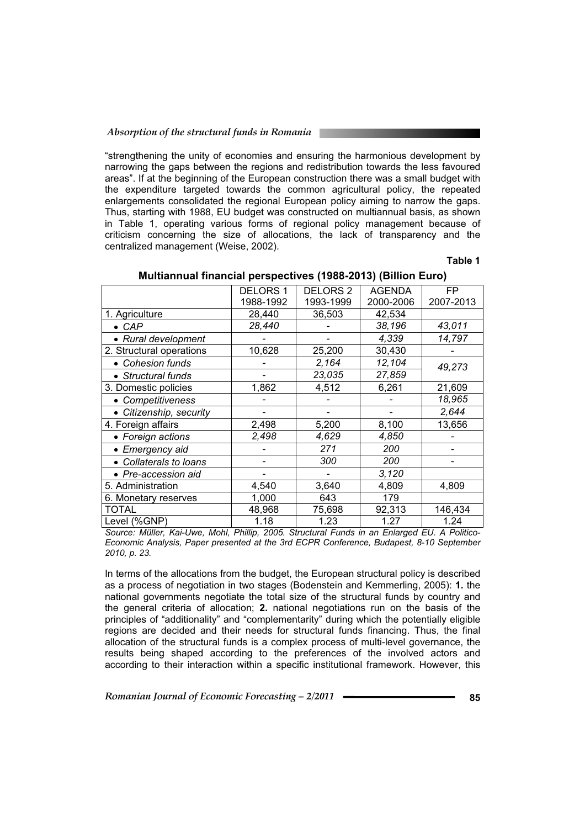"strengthening the unity of economies and ensuring the harmonious development by narrowing the gaps between the regions and redistribution towards the less favoured areas". If at the beginning of the European construction there was a small budget with the expenditure targeted towards the common agricultural policy, the repeated enlargements consolidated the regional European policy aiming to narrow the gaps. Thus, starting with 1988, EU budget was constructed on multiannual basis, as shown in Table 1, operating various forms of regional policy management because of criticism concerning the size of allocations, the lack of transparency and the centralized management (Weise, 2002).

#### **Table 1**

| $m$ uluumuu mialicial perspectives (1900-2019) (Dillion Euro) |                 |                     |               |           |  |  |  |  |
|---------------------------------------------------------------|-----------------|---------------------|---------------|-----------|--|--|--|--|
|                                                               | <b>DELORS 1</b> | DELORS <sub>2</sub> | <b>AGENDA</b> | FP.       |  |  |  |  |
|                                                               | 1988-1992       | 1993-1999           | 2000-2006     | 2007-2013 |  |  |  |  |
| 1. Agriculture                                                | 28,440          | 36,503              | 42,534        |           |  |  |  |  |
| $\bullet$ CAP                                                 | 28,440          |                     | 38,196        | 43,011    |  |  |  |  |
| • Rural development                                           |                 |                     | 4,339         | 14,797    |  |  |  |  |
| 2. Structural operations                                      | 10,628          | 25,200              | 30,430        |           |  |  |  |  |
| • Cohesion funds                                              |                 | 2,164               | 12,104        | 49,273    |  |  |  |  |
| • Structural funds                                            |                 | 23,035              | 27,859        |           |  |  |  |  |
| 3. Domestic policies                                          | 1,862           | 4,512               | 6,261         | 21,609    |  |  |  |  |
| • Competitiveness                                             |                 |                     |               | 18,965    |  |  |  |  |
| • Citizenship, security                                       |                 |                     |               | 2,644     |  |  |  |  |
| 4. Foreign affairs                                            | 2,498           | 5,200               | 8,100         | 13,656    |  |  |  |  |
| • Foreign actions                                             | 2,498           | 4,629               | 4,850         |           |  |  |  |  |
| • Emergency aid                                               |                 | 271                 | 200           |           |  |  |  |  |
| • Collaterals to loans                                        |                 | 300                 | 200           |           |  |  |  |  |
| • Pre-accession aid                                           |                 |                     | 3,120         |           |  |  |  |  |
| 5. Administration                                             | 4,540           | 3,640               | 4,809         | 4,809     |  |  |  |  |
| 6. Monetary reserves                                          | 1,000           | 643                 | 179           |           |  |  |  |  |
| TOTAL                                                         | 48,968          | 75,698              | 92,313        | 146,434   |  |  |  |  |
| Level (%GNP)                                                  | 1.18            | 1.23                | 1.27          | 1.24      |  |  |  |  |

# **Multiannual financial perspectives (1988-2013) (Billion Euro)**

*Source: Müller, Kai-Uwe, Mohl, Phillip, 2005. Structural Funds in an Enlarged EU. A Politico-Economic Analysis, Paper presented at the 3rd ECPR Conference, Budapest, 8-10 September 2010, p. 23.* 

In terms of the allocations from the budget, the European structural policy is described as a process of negotiation in two stages (Bodenstein and Kemmerling, 2005): **1.** the national governments negotiate the total size of the structural funds by country and the general criteria of allocation; **2.** national negotiations run on the basis of the principles of "additionality" and "complementarity" during which the potentially eligible regions are decided and their needs for structural funds financing. Thus, the final allocation of the structural funds is a complex process of multi-level governance, the results being shaped according to the preferences of the involved actors and according to their interaction within a specific institutional framework. However, this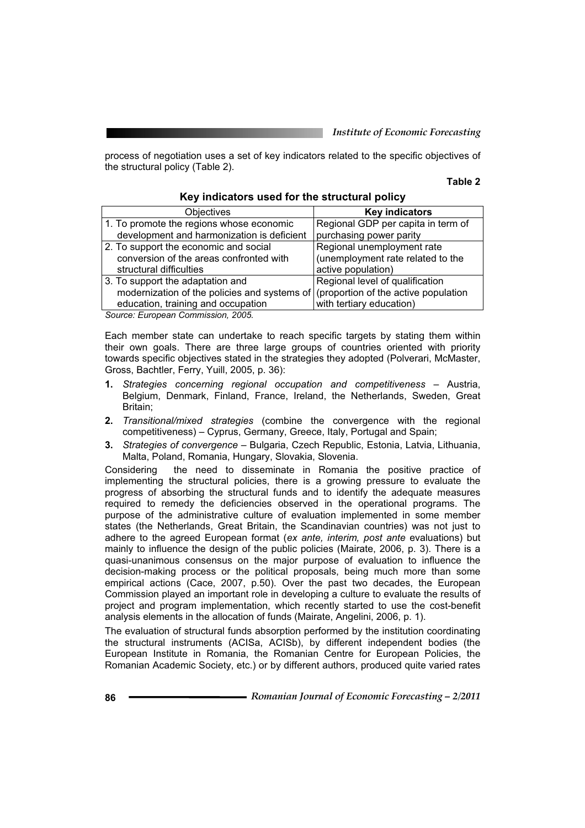process of negotiation uses a set of key indicators related to the specific objectives of the structural policy (Table 2).

#### **Table 2**

| Objectives                                   | <b>Key indicators</b>                |
|----------------------------------------------|--------------------------------------|
| 1. To promote the regions whose economic     | Regional GDP per capita in term of   |
| development and harmonization is deficient   | purchasing power parity              |
| 2. To support the economic and social        | Regional unemployment rate           |
| conversion of the areas confronted with      | (unemployment rate related to the    |
| structural difficulties                      | active population)                   |
| 3. To support the adaptation and             | Regional level of qualification      |
| modernization of the policies and systems of | (proportion of the active population |
| education, training and occupation           | with tertiary education)             |
| $0.0005$ $0.0005$ $0.0005$ $0.0005$          |                                      |

#### **Key indicators used for the structural policy**

*Source: European Commission, 2005.* 

Each member state can undertake to reach specific targets by stating them within their own goals. There are three large groups of countries oriented with priority towards specific objectives stated in the strategies they adopted (Polverari, McMaster, Gross, Bachtler, Ferry, Yuill, 2005, p. 36):

- **1.** *Strategies concerning regional occupation and competitiveness* Austria, Belgium, Denmark, Finland, France, Ireland, the Netherlands, Sweden, Great Britain;
- **2.** *Transitional/mixed strategies* (combine the convergence with the regional competitiveness) – Cyprus, Germany, Greece, Italy, Portugal and Spain;
- **3.** *Strategies of convergence* Bulgaria, Czech Republic, Estonia, Latvia, Lithuania, Malta, Poland, Romania, Hungary, Slovakia, Slovenia.

Considering the need to disseminate in Romania the positive practice of implementing the structural policies, there is a growing pressure to evaluate the progress of absorbing the structural funds and to identify the adequate measures required to remedy the deficiencies observed in the operational programs. The purpose of the administrative culture of evaluation implemented in some member states (the Netherlands, Great Britain, the Scandinavian countries) was not just to adhere to the agreed European format (*ex ante, interim, post ante* evaluations) but mainly to influence the design of the public policies (Mairate, 2006, p. 3). There is a quasi-unanimous consensus on the major purpose of evaluation to influence the decision-making process or the political proposals, being much more than some empirical actions (Cace, 2007, p.50). Over the past two decades, the European Commission played an important role in developing a culture to evaluate the results of project and program implementation, which recently started to use the cost-benefit analysis elements in the allocation of funds (Mairate, Angelini, 2006, p. 1).

The evaluation of structural funds absorption performed by the institution coordinating the structural instruments (ACISa, ACISb), by different independent bodies (the European Institute in Romania, the Romanian Centre for European Policies, the Romanian Academic Society, etc.) or by different authors, produced quite varied rates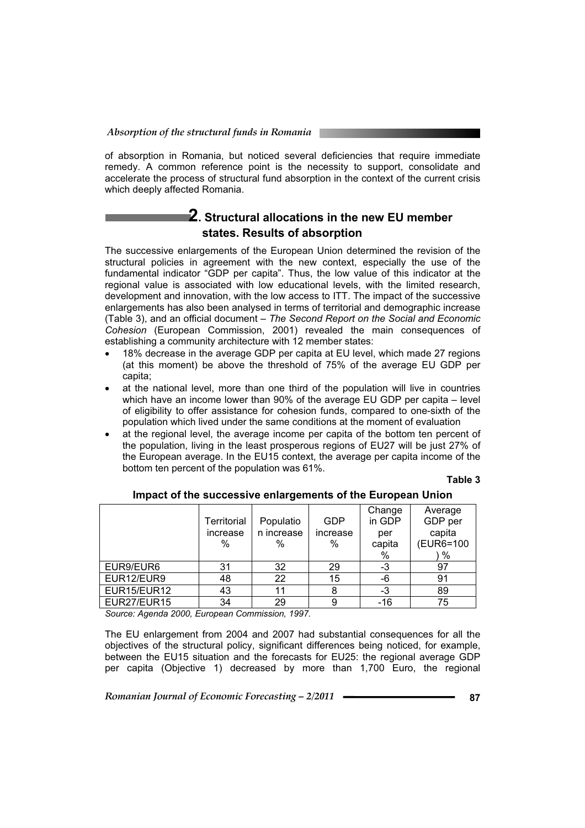of absorption in Romania, but noticed several deficiencies that require immediate remedy. A common reference point is the necessity to support, consolidate and accelerate the process of structural fund absorption in the context of the current crisis which deeply affected Romania.

# **2. Structural allocations in the new EU member states. Results of absorption**

The successive enlargements of the European Union determined the revision of the structural policies in agreement with the new context, especially the use of the fundamental indicator "GDP per capita". Thus, the low value of this indicator at the regional value is associated with low educational levels, with the limited research, development and innovation, with the low access to ITT. The impact of the successive enlargements has also been analysed in terms of territorial and demographic increase (Table 3), and an official document – *The Second Report on the Social and Economic Cohesion* (European Commission, 2001) revealed the main consequences of establishing a community architecture with 12 member states:

- $\bullet$  18% decrease in the average GDP per capita at EU level, which made 27 regions (at this moment) be above the threshold of 75% of the average EU GDP per capita;
- at the national level, more than one third of the population will live in countries which have an income lower than 90% of the average EU GDP per capita – level of eligibility to offer assistance for cohesion funds, compared to one-sixth of the population which lived under the same conditions at the moment of evaluation
- at the regional level, the average income per capita of the bottom ten percent of the population, living in the least prosperous regions of EU27 will be just 27% of the European average. In the EU15 context, the average per capita income of the bottom ten percent of the population was 61%.

**Table 3** 

|             | Territorial | Populatio  | <b>GDP</b> | Change<br>in GDP | Average<br>GDP per |
|-------------|-------------|------------|------------|------------------|--------------------|
|             | increase    | n increase | increase   | per              | capita             |
|             | %           | %          | %          | capita           | (EUR6=100          |
|             |             |            |            | %                | $\%$               |
| EUR9/EUR6   | 31          | 32         | 29         | -3               | 97                 |
| EUR12/EUR9  | 48          | 22         | 15         | -6               | 91                 |
| EUR15/EUR12 | 43          | 11         | 8          | -3               | 89                 |
| EUR27/EUR15 | 34          | 29         | 9          | $-16$            | 75                 |

**Impact of the successive enlargements of the European Union** 

*Source: Agenda 2000, European Commission, 1997.* 

The EU enlargement from 2004 and 2007 had substantial consequences for all the objectives of the structural policy, significant differences being noticed, for example, between the EU15 situation and the forecasts for EU25: the regional average GDP per capita (Objective 1) decreased by more than 1,700 Euro, the regional

*Romanian Journal of Economic Forecasting – 2/2011* **Replace 12001 87**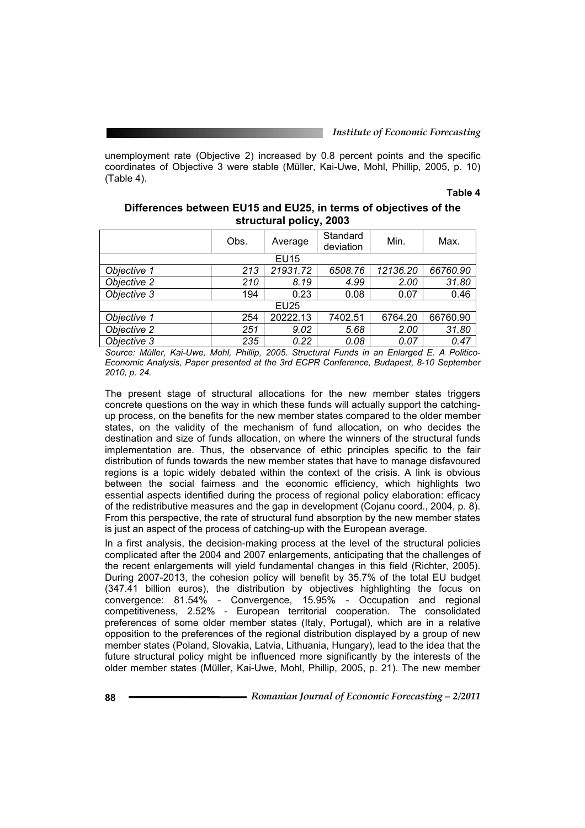unemployment rate (Objective 2) increased by 0.8 percent points and the specific coordinates of Objective 3 were stable (Müller, Kai-Uwe, Mohl, Phillip, 2005, p. 10) (Table 4).

#### **Table 4**

| Differences between EU15 and EU25, in terms of objectives of the |
|------------------------------------------------------------------|
| structural policy, 2003                                          |

|             | Obs. | Average     | Standard<br>deviation | Min.     | Max.     |
|-------------|------|-------------|-----------------------|----------|----------|
|             |      | <b>EU15</b> |                       |          |          |
| Objective 1 | 213  | 21931.72    | 6508.76               | 12136.20 | 66760.90 |
| Objective 2 | 210  | 8.19        | 4.99                  | 2.00     | 31.80    |
| Objective 3 | 194  | 0.23        | 0.08                  | 0.07     | 0.46     |
|             |      | <b>EU25</b> |                       |          |          |
| Objective 1 | 254  | 20222.13    | 7402.51               | 6764.20  | 66760.90 |
| Objective 2 | 251  | 9.02        | 5.68                  | 2.00     | 31.80    |
| Objective 3 | 235  | 0.22        | 0.08                  | 0.07     | 0.47     |

*Source: Müller, Kai-Uwe, Mohl, Phillip, 2005. Structural Funds in an Enlarged E. A Politico-Economic Analysis, Paper presented at the 3rd ECPR Conference, Budapest, 8-10 September 2010, p. 24.* 

The present stage of structural allocations for the new member states triggers concrete questions on the way in which these funds will actually support the catchingup process, on the benefits for the new member states compared to the older member states, on the validity of the mechanism of fund allocation, on who decides the destination and size of funds allocation, on where the winners of the structural funds implementation are. Thus, the observance of ethic principles specific to the fair distribution of funds towards the new member states that have to manage disfavoured regions is a topic widely debated within the context of the crisis. A link is obvious between the social fairness and the economic efficiency, which highlights two essential aspects identified during the process of regional policy elaboration: efficacy of the redistributive measures and the gap in development (Cojanu coord., 2004, p. 8). From this perspective, the rate of structural fund absorption by the new member states is just an aspect of the process of catching-up with the European average.

In a first analysis, the decision-making process at the level of the structural policies complicated after the 2004 and 2007 enlargements, anticipating that the challenges of the recent enlargements will yield fundamental changes in this field (Richter, 2005). During 2007-2013, the cohesion policy will benefit by 35.7% of the total EU budget (347.41 billion euros), the distribution by objectives highlighting the focus on convergence: 81.54% - Convergence, 15.95% - Occupation and regional competitiveness, 2.52% - European territorial cooperation. The consolidated preferences of some older member states (Italy, Portugal), which are in a relative opposition to the preferences of the regional distribution displayed by a group of new member states (Poland, Slovakia, Latvia, Lithuania, Hungary), lead to the idea that the future structural policy might be influenced more significantly by the interests of the older member states (Müller, Kai-Uwe, Mohl, Phillip, 2005, p. 21). The new member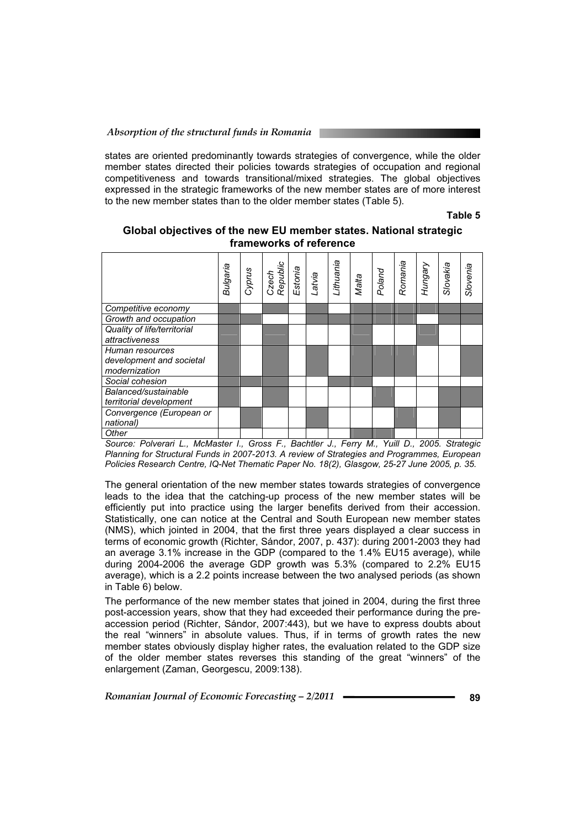states are oriented predominantly towards strategies of convergence, while the older member states directed their policies towards strategies of occupation and regional competitiveness and towards transitional/mixed strategies. The global objectives expressed in the strategic frameworks of the new member states are of more interest to the new member states than to the older member states (Table 5).

**Table 5** 

|                                                 | Bulgaria | Cyprus | Czech<br>Republic<br>Estonia | Latvia | Lithuania | Malta | Poland | Romania | Hungary | Slovakia | Slovenia |
|-------------------------------------------------|----------|--------|------------------------------|--------|-----------|-------|--------|---------|---------|----------|----------|
| Competitive economy                             |          |        |                              |        |           |       |        |         |         |          |          |
| Growth and occupation                           |          |        |                              |        |           |       |        |         |         |          |          |
| Quality of life/territorial                     |          |        |                              |        |           |       |        |         |         |          |          |
| attractiveness                                  |          |        |                              |        |           |       |        |         |         |          |          |
| Human resources                                 |          |        |                              |        |           |       |        |         |         |          |          |
| development and societal<br>modernization       |          |        |                              |        |           |       |        |         |         |          |          |
| Social cohesion                                 |          |        |                              |        |           |       |        |         |         |          |          |
| Balanced/sustainable<br>territorial development |          |        |                              |        |           |       |        |         |         |          |          |
| Convergence (European or                        |          |        |                              |        |           |       |        |         |         |          |          |
| national)                                       |          |        |                              |        |           |       |        |         |         |          |          |
| Other                                           |          |        |                              |        |           |       |        |         |         |          |          |

**Global objectives of the new EU member states. National strategic frameworks of reference** 

*Source: Polverari L., McMaster I., Gross F., Bachtler J., Ferry M., Yuill D., 2005. Strategic Planning for Structural Funds in 2007-2013. A review of Strategies and Programmes, European Policies Research Centre, IQ-Net Thematic Paper No. 18(2), Glasgow, 25-27 June 2005, p. 35.* 

The general orientation of the new member states towards strategies of convergence leads to the idea that the catching-up process of the new member states will be efficiently put into practice using the larger benefits derived from their accession. Statistically, one can notice at the Central and South European new member states (NMS), which jointed in 2004, that the first three years displayed a clear success in terms of economic growth (Richter, Sándor, 2007, p. 437): during 2001-2003 they had an average 3.1% increase in the GDP (compared to the 1.4% EU15 average), while during 2004-2006 the average GDP growth was 5.3% (compared to 2.2% EU15 average), which is a 2.2 points increase between the two analysed periods (as shown in Table 6) below.

The performance of the new member states that joined in 2004, during the first three post-accession years, show that they had exceeded their performance during the preaccession period (Richter, Sándor, 2007:443), but we have to express doubts about the real "winners" in absolute values. Thus, if in terms of growth rates the new member states obviously display higher rates, the evaluation related to the GDP size of the older member states reverses this standing of the great "winners" of the enlargement (Zaman, Georgescu, 2009:138).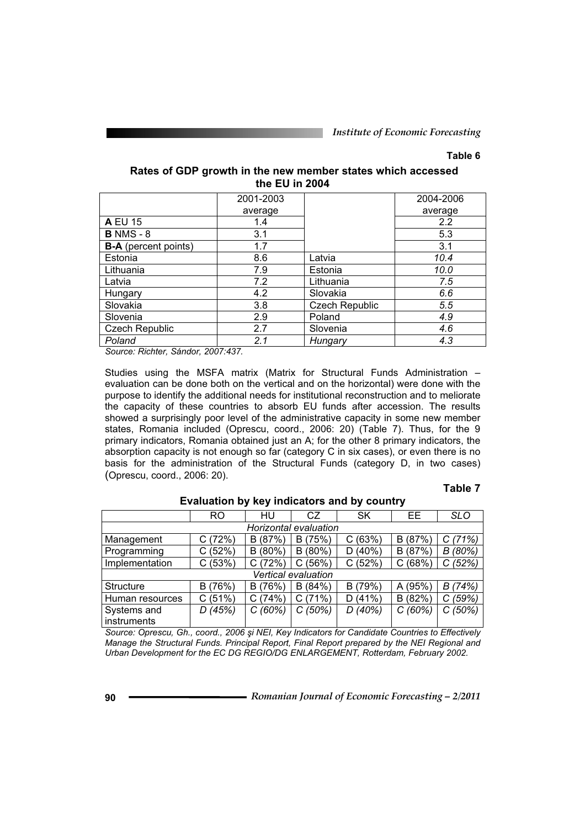# **Table 6**

## **Rates of GDP growth in the new member states which accessed the EU in 2004**

|                             | 2001-2003 |                | 2004-2006 |
|-----------------------------|-----------|----------------|-----------|
|                             | average   |                | average   |
| <b>A EU 15</b>              | 1.4       |                | 2.2       |
| <b>B</b> NMS - 8            | 3.1       |                | 5.3       |
| <b>B-A</b> (percent points) | 1.7       |                | 3.1       |
| Estonia                     | 8.6       | Latvia         | 10.4      |
| Lithuania                   | 7.9       | Estonia        | 10.0      |
| Latvia                      | 7.2       | Lithuania      | 7.5       |
| Hungary                     | 4.2       | Slovakia       | 6.6       |
| Slovakia                    | 3.8       | Czech Republic | 5.5       |
| Slovenia                    | 2.9       | Poland         | 4.9       |
| Czech Republic              | 2.7       | Slovenia       | 4.6       |
| Poland                      | 2.1       | Hungary        | 4.3       |

*Source: Richter, Sándor, 2007:437.* 

Studies using the MSFA matrix (Matrix for Structural Funds Administration – evaluation can be done both on the vertical and on the horizontal) were done with the purpose to identify the additional needs for institutional reconstruction and to meliorate the capacity of these countries to absorb EU funds after accession. The results showed a surprisingly poor level of the administrative capacity in some new member states, Romania included (Oprescu, coord., 2006: 20) (Table 7). Thus, for the 9 primary indicators, Romania obtained just an A; for the other 8 primary indicators, the absorption capacity is not enough so far (category C in six cases), or even there is no basis for the administration of the Structural Funds (category D, in two cases) (Oprescu, coord., 2006: 20).

#### **Table 7**

|                 | <b>RO</b> | HU            | CZ                    | <b>SK</b> | EE         | <b>SLO</b> |
|-----------------|-----------|---------------|-----------------------|-----------|------------|------------|
|                 |           |               | Horizontal evaluation |           |            |            |
| Management      | C(72%)    | (87%)<br>в    | (75%)<br>в            | C(63%)    | (87%<br>B  | C(71%)     |
| Programming     | C(52%)    | $(80\%)$<br>B | $(80\%)$<br>в         | D(40%)    | (87%)<br>В | B (80%)    |
| Implementation  | C(53%)    | (72%)         | (56%)<br>C            | C(52%)    | (68%<br>C  | C(52%)     |
|                 |           |               | Vertical evaluation   |           |            |            |
| Structure       | B (76%)   | (76%)<br>в    | (84%)<br>в            | B (79%)   | (95%)<br>A | B (74%)    |
| Human resources | C(51%)    | C(74%)        | (71%)<br>С            | D(41%)    | (82%)<br>в | (59%)<br>С |
| Systems and     | D(45%)    | C(60%)        | C(50%)                | D(40%)    | C(60%)     | C(50%)     |
| instruments     |           |               |                       |           |            |            |

# **Evaluation by key indicators and by country**

*Source: Oprescu, Gh., coord., 2006 úi NEI, Key Indicators for Candidate Countries to Effectively Manage the Structural Funds. Principal Report, Final Report prepared by the NEI Regional and Urban Development for the EC DG REGIO/DG ENLARGEMENT, Rotterdam, February 2002.*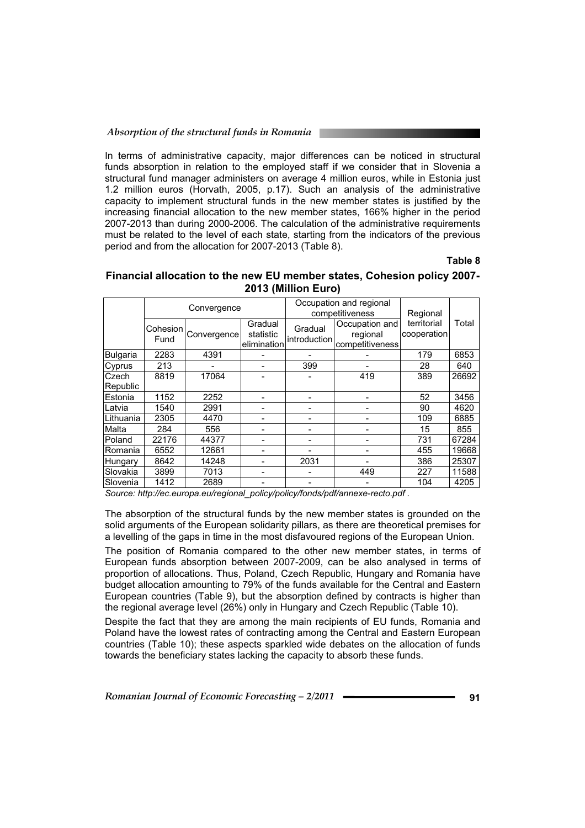In terms of administrative capacity, major differences can be noticed in structural funds absorption in relation to the employed staff if we consider that in Slovenia a structural fund manager administers on average 4 million euros, while in Estonia just 1.2 million euros (Horvath, 2005, p.17). Such an analysis of the administrative capacity to implement structural funds in the new member states is justified by the increasing financial allocation to the new member states, 166% higher in the period 2007-2013 than during 2000-2006. The calculation of the administrative requirements must be related to the level of each state, starting from the indicators of the previous period and from the allocation for 2007-2013 (Table 8).

**Table 8** 

# **Financial allocation to the new EU member states, Cohesion policy 2007- 2013 (Million Euro)**

|                 | Convergence      |             |                                     |                         | Occupation and regional<br>competitiveness    | Regional                   |       |
|-----------------|------------------|-------------|-------------------------------------|-------------------------|-----------------------------------------------|----------------------------|-------|
|                 | Cohesion<br>Fund | Convergence | Gradual<br>statistic<br>elimination | Gradual<br>introduction | Occupation and<br>regional<br>competitiveness | territorial<br>cooperation | Total |
| Bulgaria        | 2283             | 4391        |                                     |                         |                                               | 179                        | 6853  |
| Cyprus          | 213              |             |                                     | 399                     |                                               | 28                         | 640   |
| lCzech          | 8819             | 17064       |                                     |                         | 419                                           | 389                        | 26692 |
| Republic        |                  |             |                                     |                         |                                               |                            |       |
| <b>Estonia</b>  | 1152             | 2252        |                                     |                         |                                               | 52                         | 3456  |
| lLatvia         | 1540             | 2991        |                                     |                         |                                               | 90                         | 4620  |
| ∣Lithuania      | 2305             | 4470        |                                     |                         |                                               | 109                        | 6885  |
| lMalta          | 284              | 556         |                                     |                         |                                               | 15                         | 855   |
| Poland          | 22176            | 44377       |                                     |                         |                                               | 731                        | 67284 |
| Romania         | 6552             | 12661       |                                     |                         |                                               | 455                        | 19668 |
| Hungary         | 8642             | 14248       |                                     | 2031                    |                                               | 386                        | 25307 |
| Slovakia        | 3899             | 7013        |                                     |                         | 449                                           | 227                        | 11588 |
| <b>Slovenia</b> | 1412             | 2689        |                                     |                         |                                               | 104                        | 4205  |

*Source: http://ec.europa.eu/regional\_policy/policy/fonds/pdf/annexe-recto.pdf .* 

The absorption of the structural funds by the new member states is grounded on the solid arguments of the European solidarity pillars, as there are theoretical premises for a levelling of the gaps in time in the most disfavoured regions of the European Union.

The position of Romania compared to the other new member states, in terms of European funds absorption between 2007-2009, can be also analysed in terms of proportion of allocations. Thus, Poland, Czech Republic, Hungary and Romania have budget allocation amounting to 79% of the funds available for the Central and Eastern European countries (Table 9), but the absorption defined by contracts is higher than the regional average level (26%) only in Hungary and Czech Republic (Table 10).

Despite the fact that they are among the main recipients of EU funds, Romania and Poland have the lowest rates of contracting among the Central and Eastern European countries (Table 10); these aspects sparkled wide debates on the allocation of funds towards the beneficiary states lacking the capacity to absorb these funds.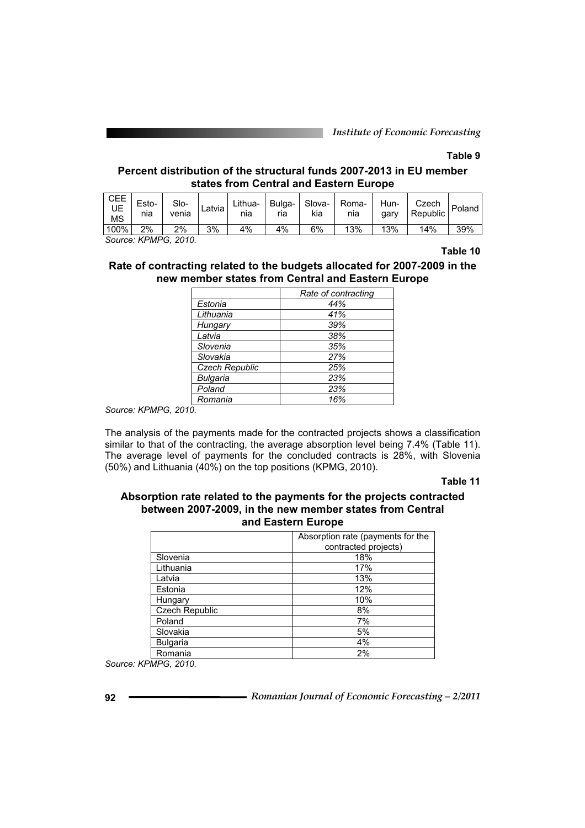*Institute of Economic Forecasting*

# **Table 9**

# **Percent distribution of the structural funds 2007-2013 in EU member states from Central and Eastern Europe**

| <b>CEE</b><br>UE<br><b>MS</b> | Esto-<br>nıa | Slo-<br>venia | Latvia | Lithua-<br>nia | Bulga-l<br>ria | Slova-<br>kia | Roma-<br>nia | Hun-<br>gary | Czech<br>Republic, | Poland |
|-------------------------------|--------------|---------------|--------|----------------|----------------|---------------|--------------|--------------|--------------------|--------|
| $100\%$                       | 2%           | 2%            | 3%     | 4%             | 4%             | 6%            | 13%          | 13%          | 14%                | 39%    |

*Source: KPMPG, 2010.* 

#### **Table 10**

# **Rate of contracting related to the budgets allocated for 2007-2009 in the new member states from Central and Eastern Europe**

|                 | Rate of contracting |
|-----------------|---------------------|
| Estonia         | 44%                 |
| Lithuania       | 41%                 |
| Hungary         | 39%                 |
| Latvia          | 38%                 |
| Slovenia        | 35%                 |
| Slovakia        | 27%                 |
| Czech Republic  | 25%                 |
| <b>Bulgaria</b> | 23%                 |
| Poland          | 23%                 |
| Romania         | 16%                 |

*Source: KPMPG, 2010.* 

The analysis of the payments made for the contracted projects shows a classification similar to that of the contracting, the average absorption level being 7.4% (Table 11). The average level of payments for the concluded contracts is 28%, with Slovenia (50%) and Lithuania (40%) on the top positions (KPMG, 2010).

## **Table 11**

## **Absorption rate related to the payments for the projects contracted between 2007-2009, in the new member states from Central and Eastern Europe**

|                 | Absorption rate (payments for the<br>contracted projects) |
|-----------------|-----------------------------------------------------------|
| Slovenia        | 18%                                                       |
| Lithuania       | 17%                                                       |
| Latvia          | 13%                                                       |
| Estonia         | 12%                                                       |
| Hungary         | 10%                                                       |
| Czech Republic  | 8%                                                        |
| Poland          | 7%                                                        |
| Slovakia        | 5%                                                        |
| <b>Bulgaria</b> | 4%                                                        |
| Romania         | 2%                                                        |

*Source: KPMPG, 2010.*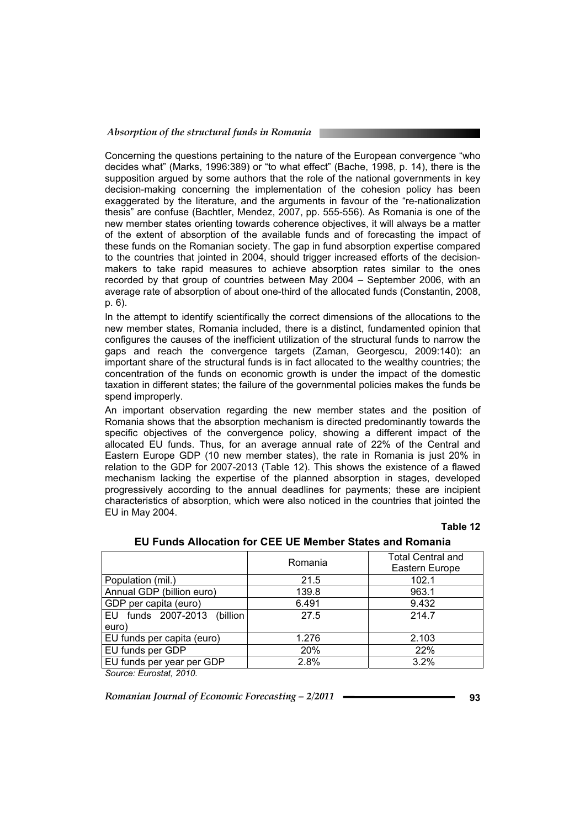Concerning the questions pertaining to the nature of the European convergence "who decides what" (Marks, 1996:389) or "to what effect" (Bache, 1998, p. 14), there is the supposition argued by some authors that the role of the national governments in key decision-making concerning the implementation of the cohesion policy has been exaggerated by the literature, and the arguments in favour of the "re-nationalization thesis" are confuse (Bachtler, Mendez, 2007, pp. 555-556). As Romania is one of the new member states orienting towards coherence objectives, it will always be a matter of the extent of absorption of the available funds and of forecasting the impact of these funds on the Romanian society. The gap in fund absorption expertise compared to the countries that jointed in 2004, should trigger increased efforts of the decisionmakers to take rapid measures to achieve absorption rates similar to the ones recorded by that group of countries between May 2004 – September 2006, with an average rate of absorption of about one-third of the allocated funds (Constantin, 2008, p. 6).

In the attempt to identify scientifically the correct dimensions of the allocations to the new member states, Romania included, there is a distinct, fundamented opinion that configures the causes of the inefficient utilization of the structural funds to narrow the gaps and reach the convergence targets (Zaman, Georgescu, 2009:140): an important share of the structural funds is in fact allocated to the wealthy countries; the concentration of the funds on economic growth is under the impact of the domestic taxation in different states; the failure of the governmental policies makes the funds be spend improperly.

An important observation regarding the new member states and the position of Romania shows that the absorption mechanism is directed predominantly towards the specific objectives of the convergence policy, showing a different impact of the allocated EU funds. Thus, for an average annual rate of 22% of the Central and Eastern Europe GDP (10 new member states), the rate in Romania is just 20% in relation to the GDP for 2007-2013 (Table 12). This shows the existence of a flawed mechanism lacking the expertise of the planned absorption in stages, developed progressively according to the annual deadlines for payments; these are incipient characteristics of absorption, which were also noticed in the countries that jointed the EU in May 2004.

#### **Table 12**

|                             | Romania | <b>Total Central and</b><br>Eastern Europe |
|-----------------------------|---------|--------------------------------------------|
| Population (mil.)           | 21.5    | 102.1                                      |
| Annual GDP (billion euro)   | 139.8   | 963.1                                      |
| GDP per capita (euro)       | 6.491   | 9.432                                      |
| EU funds 2007-2013 (billion | 27.5    | 214.7                                      |
| euro)                       |         |                                            |
| EU funds per capita (euro)  | 1.276   | 2.103                                      |
| EU funds per GDP            | 20%     | 22%                                        |
| EU funds per year per GDP   | 2.8%    | 3.2%                                       |

#### **EU Funds Allocation for CEE UE Member States and Romania**

*Source: Eurostat, 2010.*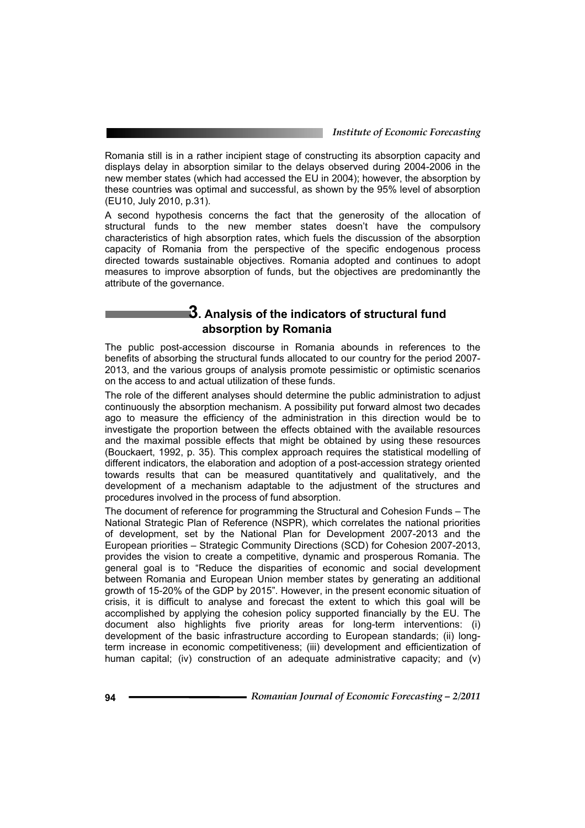Romania still is in a rather incipient stage of constructing its absorption capacity and displays delay in absorption similar to the delays observed during 2004-2006 in the new member states (which had accessed the EU in 2004); however, the absorption by these countries was optimal and successful, as shown by the 95% level of absorption (EU10, July 2010, p.31).

A second hypothesis concerns the fact that the generosity of the allocation of structural funds to the new member states doesn't have the compulsory characteristics of high absorption rates, which fuels the discussion of the absorption capacity of Romania from the perspective of the specific endogenous process directed towards sustainable objectives. Romania adopted and continues to adopt measures to improve absorption of funds, but the objectives are predominantly the attribute of the governance.

# **3. Analysis of the indicators of structural fund absorption by Romania**

The public post-accession discourse in Romania abounds in references to the benefits of absorbing the structural funds allocated to our country for the period 2007- 2013, and the various groups of analysis promote pessimistic or optimistic scenarios on the access to and actual utilization of these funds.

The role of the different analyses should determine the public administration to adjust continuously the absorption mechanism. A possibility put forward almost two decades ago to measure the efficiency of the administration in this direction would be to investigate the proportion between the effects obtained with the available resources and the maximal possible effects that might be obtained by using these resources (Bouckaert, 1992, p. 35). This complex approach requires the statistical modelling of different indicators, the elaboration and adoption of a post-accession strategy oriented towards results that can be measured quantitatively and qualitatively, and the development of a mechanism adaptable to the adjustment of the structures and procedures involved in the process of fund absorption.

The document of reference for programming the Structural and Cohesion Funds – The National Strategic Plan of Reference (NSPR), which correlates the national priorities of development, set by the National Plan for Development 2007-2013 and the European priorities – Strategic Community Directions (SCD) for Cohesion 2007-2013, provides the vision to create a competitive, dynamic and prosperous Romania. The general goal is to "Reduce the disparities of economic and social development between Romania and European Union member states by generating an additional growth of 15-20% of the GDP by 2015". However, in the present economic situation of crisis, it is difficult to analyse and forecast the extent to which this goal will be accomplished by applying the cohesion policy supported financially by the EU. The document also highlights five priority areas for long-term interventions: (i) development of the basic infrastructure according to European standards; (ii) longterm increase in economic competitiveness; (iii) development and efficientization of human capital; (iv) construction of an adequate administrative capacity; and (v)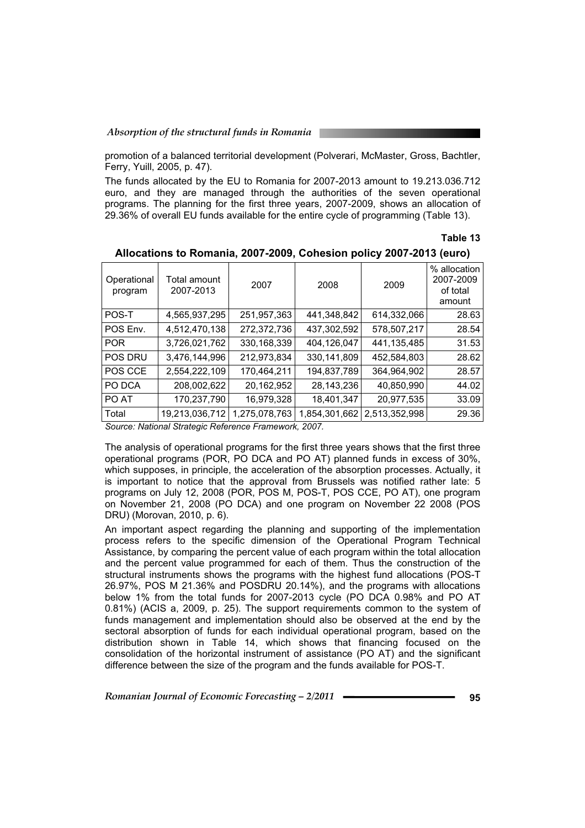promotion of a balanced territorial development (Polverari, McMaster, Gross, Bachtler, Ferry, Yuill, 2005, p. 47).

The funds allocated by the EU to Romania for 2007-2013 amount to 19.213.036.712 euro, and they are managed through the authorities of the seven operational programs. The planning for the first three years, 2007-2009, shows an allocation of 29.36% of overall EU funds available for the entire cycle of programming (Table 13).

**Table 13** 

| Operational<br>program | Total amount<br>2007-2013 | 2007          | 2008          | 2009          | % allocation<br>2007-2009<br>of total<br>amount |
|------------------------|---------------------------|---------------|---------------|---------------|-------------------------------------------------|
| POS-T                  | 4,565,937,295             | 251,957,363   | 441,348,842   | 614,332,066   | 28.63                                           |
| POS Env.               | 4,512,470,138             | 272,372,736   | 437,302,592   | 578,507,217   | 28.54                                           |
| <b>POR</b>             | 3,726,021,762             | 330, 168, 339 | 404,126,047   | 441,135,485   | 31.53                                           |
| <b>POS DRU</b>         | 3,476,144,996             | 212,973,834   | 330,141,809   | 452,584,803   | 28.62                                           |
| POS CCE                | 2,554,222,109             | 170,464,211   | 194,837,789   | 364,964,902   | 28.57                                           |
| PO DCA                 | 208,002,622               | 20,162,952    | 28, 143, 236  | 40,850,990    | 44.02                                           |
| PO AT                  | 170,237,790               | 16,979,328    | 18,401,347    | 20,977,535    | 33.09                                           |
| Total                  | 19,213,036,712            | 1,275,078,763 | 1,854,301,662 | 2.513.352.998 | 29.36                                           |

#### **Allocations to Romania, 2007-2009, Cohesion policy 2007-2013 (euro)**

*Source: National Strategic Reference Framework, 2007.* 

The analysis of operational programs for the first three years shows that the first three operational programs (POR, PO DCA and PO AT) planned funds in excess of 30%, which supposes, in principle, the acceleration of the absorption processes. Actually, it is important to notice that the approval from Brussels was notified rather late: 5 programs on July 12, 2008 (POR, POS M, POS-T, POS CCE, PO AT), one program on November 21, 2008 (PO DCA) and one program on November 22 2008 (POS DRU) (Morovan, 2010, p. 6).

An important aspect regarding the planning and supporting of the implementation process refers to the specific dimension of the Operational Program Technical Assistance, by comparing the percent value of each program within the total allocation and the percent value programmed for each of them. Thus the construction of the structural instruments shows the programs with the highest fund allocations (POS-T 26.97%, POS M 21.36% and POSDRU 20.14%), and the programs with allocations below 1% from the total funds for 2007-2013 cycle (PO DCA 0.98% and PO AT 0.81%) (ACIS a, 2009, p. 25). The support requirements common to the system of funds management and implementation should also be observed at the end by the sectoral absorption of funds for each individual operational program, based on the distribution shown in Table 14, which shows that financing focused on the consolidation of the horizontal instrument of assistance (PO AT) and the significant difference between the size of the program and the funds available for POS-T.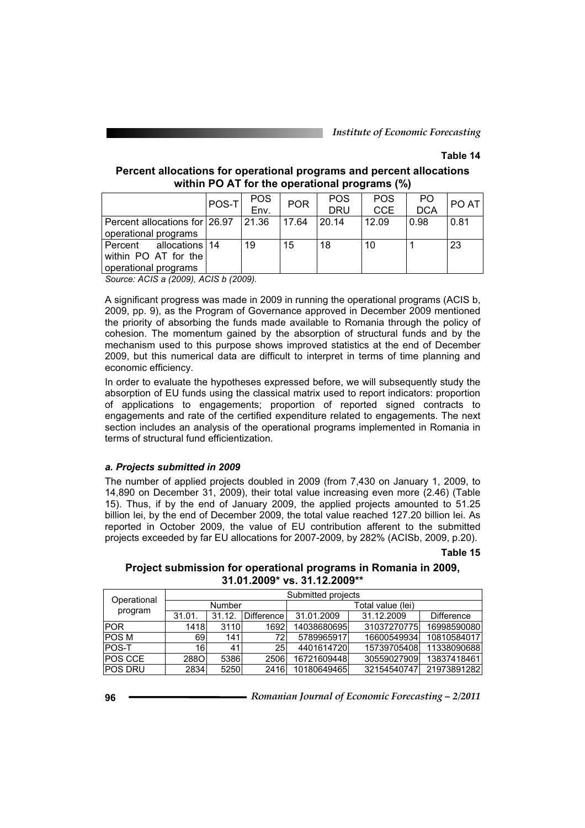# **Table 14**

## **Percent allocations for operational programs and percent allocations within PO AT for the operational programs (%)**

|                                     | POS-T | POS  | <b>POR</b> | <b>POS</b> | <b>POS</b> | PO         | PO AT |
|-------------------------------------|-------|------|------------|------------|------------|------------|-------|
|                                     |       | Env. |            | <b>DRU</b> | <b>CCE</b> | <b>DCA</b> |       |
| Percent allocations for 26.97 21.36 |       |      | 17.64      | 20.14      | 12.09      | 0.98       | 0.81  |
| operational programs                |       |      |            |            |            |            |       |
| Percent allocations 14              |       | 19   | 15         | 18         | 10         |            | 23    |
| within PO AT for the                |       |      |            |            |            |            |       |
| operational programs                |       |      |            |            |            |            |       |

*Source: ACIS a (2009), ACIS b (2009).* 

A significant progress was made in 2009 in running the operational programs (ACIS b, 2009, pp. 9), as the Program of Governance approved in December 2009 mentioned the priority of absorbing the funds made available to Romania through the policy of cohesion. The momentum gained by the absorption of structural funds and by the mechanism used to this purpose shows improved statistics at the end of December 2009, but this numerical data are difficult to interpret in terms of time planning and economic efficiency.

In order to evaluate the hypotheses expressed before, we will subsequently study the absorption of EU funds using the classical matrix used to report indicators: proportion of applications to engagements; proportion of reported signed contracts to engagements and rate of the certified expenditure related to engagements. The next section includes an analysis of the operational programs implemented in Romania in terms of structural fund efficientization.

## *a. Projects submitted in 2009*

The number of applied projects doubled in 2009 (from 7,430 on January 1, 2009, to 14,890 on December 31, 2009), their total value increasing even more (2.46) (Table 15). Thus, if by the end of January 2009, the applied projects amounted to 51.25 billion lei, by the end of December 2009, the total value reached 127.20 billion lei. As reported in October 2009, the value of EU contribution afferent to the submitted projects exceeded by far EU allocations for 2007-2009, by 282% (ACISb, 2009, p.20).

**Table 15** 

| Project submission for operational programs in Romania in 2009, |  |
|-----------------------------------------------------------------|--|
| 31.01.2009* vs. 31.12.2009**                                    |  |

| Operational    | Submitted projects |        |            |                   |             |             |  |  |
|----------------|--------------------|--------|------------|-------------------|-------------|-------------|--|--|
|                | Number             |        |            | Total value (lei) |             |             |  |  |
| program        | 31.01.             | 31.12. | Difference | 31.01.2009        | 31.12.2009  | Difference  |  |  |
| <b>IPOR</b>    | 1418               | 3110   | 1692       | 14038680695       | 31037270775 | 16998590080 |  |  |
| <b>POSM</b>    | 69                 | 141    | 72         | 5789965917        | 16600549934 | 10810584017 |  |  |
| POS-T          | 16                 | 41     | 25         | 4401614720        | 15739705408 | 11338090688 |  |  |
| <b>POS CCE</b> | <b>2880</b>        | 5386   | 2506       | 16721609448       | 30559027909 | 13837418461 |  |  |
| <b>POS DRU</b> | 2834               | 5250   | 2416       | 10180649465       | 32154540747 | 21973891282 |  |  |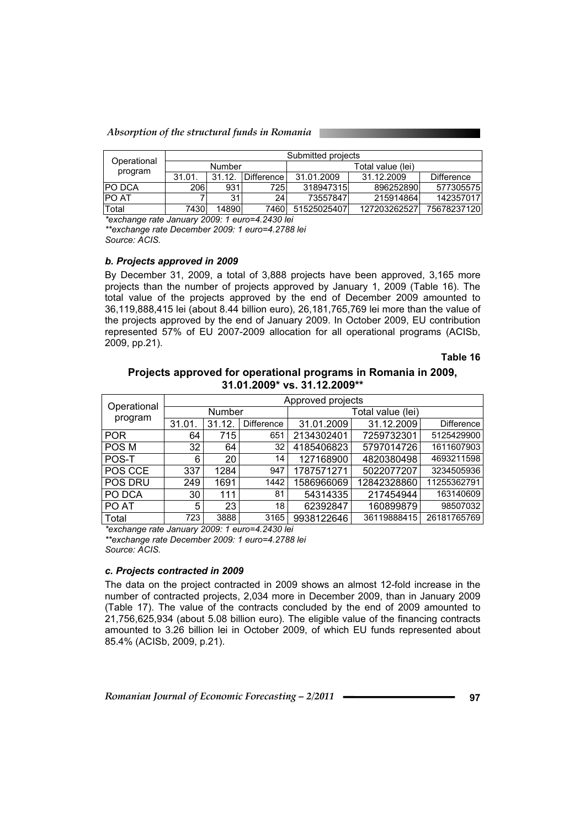*Absorption of the structural funds in Romania* 

| Operational   | Submitted projects |       |                |                   |              |                   |
|---------------|--------------------|-------|----------------|-------------------|--------------|-------------------|
|               | Number             |       |                | Total value (lei) |              |                   |
| program       | 31.01.             | 31.12 | I Difference l | 31.01.2009        | 31.12.2009   | <b>Difference</b> |
| <b>PO DCA</b> | 206                | 931   | 7251           | 318947315         | 896252890    | 577305575         |
| <b>IPO AT</b> |                    | 31    | 24             | 73557847          | 215914864    | 142357017         |
| Total         | 7430               | 14890 | 7460           | 51525025407       | 127203262527 | 75678237120       |

*\*exchange rate January 2009: 1 euro=4.2430 lei \*\*exchange rate December 2009: 1 euro=4.2788 lei Source: ACIS.* 

*b. Projects approved in 2009* 

By December 31, 2009, a total of 3,888 projects have been approved, 3,165 more projects than the number of projects approved by January 1, 2009 (Table 16). The total value of the projects approved by the end of December 2009 amounted to 36,119,888,415 lei (about 8.44 billion euro), 26,181,765,769 lei more than the value of the projects approved by the end of January 2009. In October 2009, EU contribution represented 57% of EU 2007-2009 allocation for all operational programs (ACISb, 2009, pp.21).

**Table 16** 

## **Projects approved for operational programs in Romania in 2009, 31.01.2009\* vs. 31.12.2009\*\***

| Operational    |       | Approved projects |                   |                   |             |                   |  |  |
|----------------|-------|-------------------|-------------------|-------------------|-------------|-------------------|--|--|
|                |       | Number            |                   | Total value (lei) |             |                   |  |  |
| program        | 31.01 | 31.12.            | <b>Difference</b> | 31.01.2009        | 31.12.2009  | <b>Difference</b> |  |  |
| <b>POR</b>     | 64    | 715               | 651               | 2134302401        | 7259732301  | 5125429900        |  |  |
| POS M          | 32    | 64                | 32                | 4185406823        | 5797014726  | 1611607903        |  |  |
| POS-T          | 6     | 20                | 14                | 127168900         | 4820380498  | 4693211598        |  |  |
| POS CCE        | 337   | 1284              | 947               | 1787571271        | 5022077207  | 3234505936        |  |  |
| <b>POS DRU</b> | 249   | 1691              | 1442              | 1586966069        | 12842328860 | 11255362791       |  |  |
| PO DCA         | 30    | 111               | 81                | 54314335          | 217454944   | 163140609         |  |  |
| PO AT          | 5     | 23                | 18                | 62392847          | 160899879   | 98507032          |  |  |
| Total          | 723   | 3888              | 3165              | 9938122646        | 36119888415 | 26181765769       |  |  |

*\*exchange rate January 2009: 1 euro=4.2430 lei \*\*exchange rate December 2009: 1 euro=4.2788 lei* 

*Source: ACIS.* 

# *c. Projects contracted in 2009*

The data on the project contracted in 2009 shows an almost 12-fold increase in the number of contracted projects, 2,034 more in December 2009, than in January 2009 (Table 17). The value of the contracts concluded by the end of 2009 amounted to 21,756,625,934 (about 5.08 billion euro). The eligible value of the financing contracts amounted to 3.26 billion lei in October 2009, of which EU funds represented about 85.4% (ACISb, 2009, p.21).

*Romanian Journal of Economic Forecasting – 2/2011 error and Series and Series Series Series Algorithm*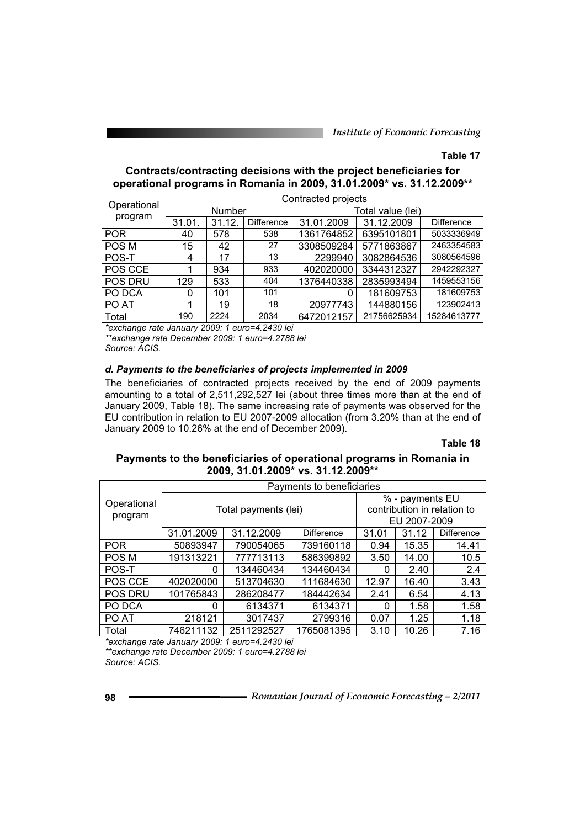# **Table 17**

| Contracts/contracting decisions with the project beneficiaries for    |
|-----------------------------------------------------------------------|
| operational programs in Romania in 2009, 31.01.2009* vs. 31.12.2009** |

| Operational    | Contracted projects |        |            |                   |             |             |  |
|----------------|---------------------|--------|------------|-------------------|-------------|-------------|--|
|                | Number              |        |            | Total value (lei) |             |             |  |
| program        | 31.01.              | 31.12. | Difference | 31.01.2009        | 31.12.2009  | Difference  |  |
| <b>POR</b>     | 40                  | 578    | 538        | 1361764852        | 6395101801  | 5033336949  |  |
| POS M          | 15                  | 42     | 27         | 3308509284        | 5771863867  | 2463354583  |  |
| POS-T          | 4                   | 17     | 13         | 2299940           | 3082864536  | 3080564596  |  |
| POS CCE        |                     | 934    | 933        | 402020000         | 3344312327  | 2942292327  |  |
| <b>POS DRU</b> | 129                 | 533    | 404        | 1376440338        | 2835993494  | 1459553156  |  |
| PO DCA         | 0                   | 101    | 101        | 0                 | 181609753   | 181609753   |  |
| PO AT          |                     | 19     | 18         | 20977743          | 144880156   | 123902413   |  |
| Total          | 190                 | 2224   | 2034       | 6472012157        | 21756625934 | 15284613777 |  |

*\*exchange rate January 2009: 1 euro=4.2430 lei \*\*exchange rate December 2009: 1 euro=4.2788 lei* 

*Source: ACIS.* 

#### *d. Payments to the beneficiaries of projects implemented in 2009*

The beneficiaries of contracted projects received by the end of 2009 payments amounting to a total of 2,511,292,527 lei (about three times more than at the end of January 2009, Table 18). The same increasing rate of payments was observed for the EU contribution in relation to EU 2007-2009 allocation (from 3.20% than at the end of January 2009 to 10.26% at the end of December 2009).

## **Table 18**

# **Payments to the beneficiaries of operational programs in Romania in 2009, 31.01.2009\* vs. 31.12.2009\*\***

|                | Payments to beneficiaries |                      |                                                |                   |              |       |  |
|----------------|---------------------------|----------------------|------------------------------------------------|-------------------|--------------|-------|--|
| Operational    |                           | Total payments (lei) | % - payments EU<br>contribution in relation to |                   |              |       |  |
| program        |                           |                      |                                                |                   | EU 2007-2009 |       |  |
|                | 31.01.2009                | 31.01                | 31.12                                          | <b>Difference</b> |              |       |  |
| <b>POR</b>     | 50893947                  | 790054065            | 739160118                                      | 0.94              | 15.35        | 14.41 |  |
| POS M          | 191313221                 | 777713113            | 586399892                                      | 3.50              | 14.00        | 10.5  |  |
| POS-T          | 0                         | 134460434            | 134460434                                      | 0                 | 2.40         | 2.4   |  |
| POS CCE        | 402020000                 | 513704630            | 111684630                                      | 12.97             | 16.40        | 3.43  |  |
| <b>POS DRU</b> | 101765843                 | 286208477            | 184442634                                      | 2.41              | 6.54         | 4.13  |  |
| PO DCA         | 0                         | 6134371              | 6134371                                        | 0                 | 1.58         | 1.58  |  |
| PO AT          | 218121                    | 3017437              | 2799316                                        | 0.07              | 1.25         | 1.18  |  |
| Total          | 746211132                 | 2511292527           | 1765081395                                     | 3.10              | 10.26        | 7.16  |  |

*\*exchange rate January 2009: 1 euro=4.2430 lei \*\*exchange rate December 2009: 1 euro=4.2788 lei Source: ACIS.*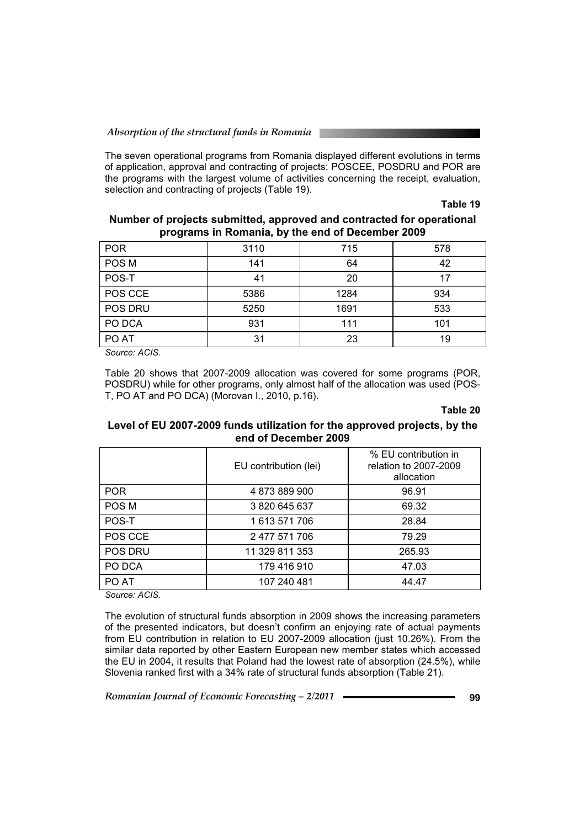The seven operational programs from Romania displayed different evolutions in terms of application, approval and contracting of projects: POSCEE, POSDRU and POR are the programs with the largest volume of activities concerning the receipt, evaluation, selection and contracting of projects (Table 19).

**Table 19** 

# **Number of projects submitted, approved and contracted for operational programs in Romania, by the end of December 2009**

| 3110 | 715  | 578 |
|------|------|-----|
| 141  | 64   | 42  |
| 41   | 20   | 17  |
| 5386 | 1284 | 934 |
| 5250 | 1691 | 533 |
| 931  | 111  | 101 |
| 31   | 23   | 19  |
|      |      |     |

*Source: ACIS.* 

Table 20 shows that 2007-2009 allocation was covered for some programs (POR, POSDRU) while for other programs, only almost half of the allocation was used (POS-T, PO AT and PO DCA) (Morovan I., 2010, p.16).

## **Table 20**

# **Level of EU 2007-2009 funds utilization for the approved projects, by the end of December 2009**

|            | EU contribution (lei) | % EU contribution in<br>relation to 2007-2009<br>allocation |
|------------|-----------------------|-------------------------------------------------------------|
| <b>POR</b> | 4873889900            | 96.91                                                       |
| POS M      | 3820645637            | 69.32                                                       |
| POS-T      | 1 613 571 706         | 28.84                                                       |
| POS CCE    | 2 477 571 706         | 79.29                                                       |
| POS DRU    | 11 329 811 353        | 265.93                                                      |
| PO DCA     | 179 416 910           | 47.03                                                       |
| PO AT      | 107 240 481           | 44.47                                                       |

*Source: ACIS.* 

The evolution of structural funds absorption in 2009 shows the increasing parameters of the presented indicators, but doesn't confirm an enjoying rate of actual payments from EU contribution in relation to EU 2007-2009 allocation (just 10.26%). From the similar data reported by other Eastern European new member states which accessed the EU in 2004, it results that Poland had the lowest rate of absorption (24.5%), while Slovenia ranked first with a 34% rate of structural funds absorption (Table 21).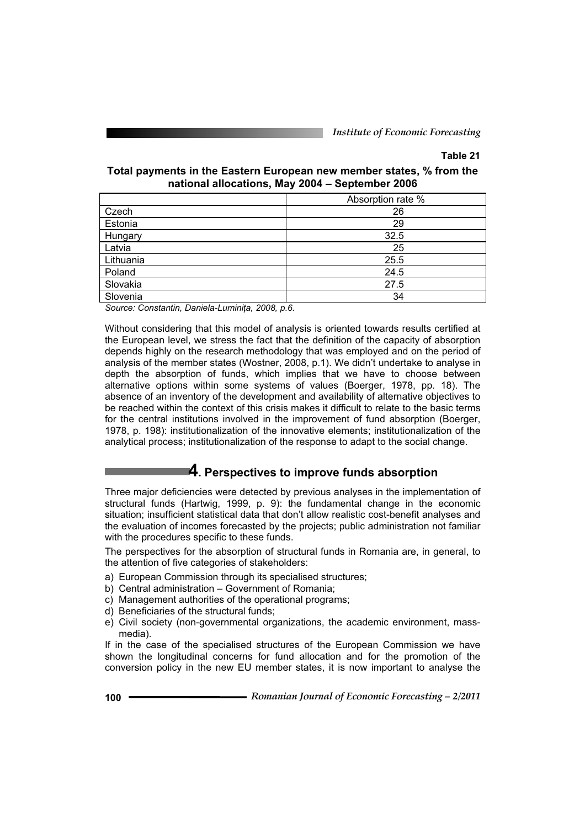# **Table 21**

### **Total payments in the Eastern European new member states, % from the national allocations, May 2004 – September 2006**

|           | Absorption rate % |
|-----------|-------------------|
| Czech     | 26                |
| Estonia   | 29                |
| Hungary   | 32.5              |
| Latvia    | 25                |
| Lithuania | 25.5              |
| Poland    | 24.5              |
| Slovakia  | 27.5              |
| Slovenia  | 34                |

*Source: Constantin, Daniela-LuminiĠa, 2008, p.6.* 

Without considering that this model of analysis is oriented towards results certified at the European level, we stress the fact that the definition of the capacity of absorption depends highly on the research methodology that was employed and on the period of analysis of the member states (Wostner, 2008, p.1). We didn't undertake to analyse in depth the absorption of funds, which implies that we have to choose between alternative options within some systems of values (Boerger, 1978, pp. 18). The absence of an inventory of the development and availability of alternative objectives to be reached within the context of this crisis makes it difficult to relate to the basic terms for the central institutions involved in the improvement of fund absorption (Boerger, 1978, p. 198): institutionalization of the innovative elements; institutionalization of the analytical process; institutionalization of the response to adapt to the social change.

# **4. Perspectives to improve funds absorption**

Three major deficiencies were detected by previous analyses in the implementation of structural funds (Hartwig, 1999, p. 9): the fundamental change in the economic situation; insufficient statistical data that don't allow realistic cost-benefit analyses and the evaluation of incomes forecasted by the projects; public administration not familiar with the procedures specific to these funds.

The perspectives for the absorption of structural funds in Romania are, in general, to the attention of five categories of stakeholders:

- a) European Commission through its specialised structures;
- b) Central administration Government of Romania;
- c) Management authorities of the operational programs;
- d) Beneficiaries of the structural funds;
- e) Civil society (non-governmental organizations, the academic environment, massmedia).

If in the case of the specialised structures of the European Commission we have shown the longitudinal concerns for fund allocation and for the promotion of the conversion policy in the new EU member states, it is now important to analyse the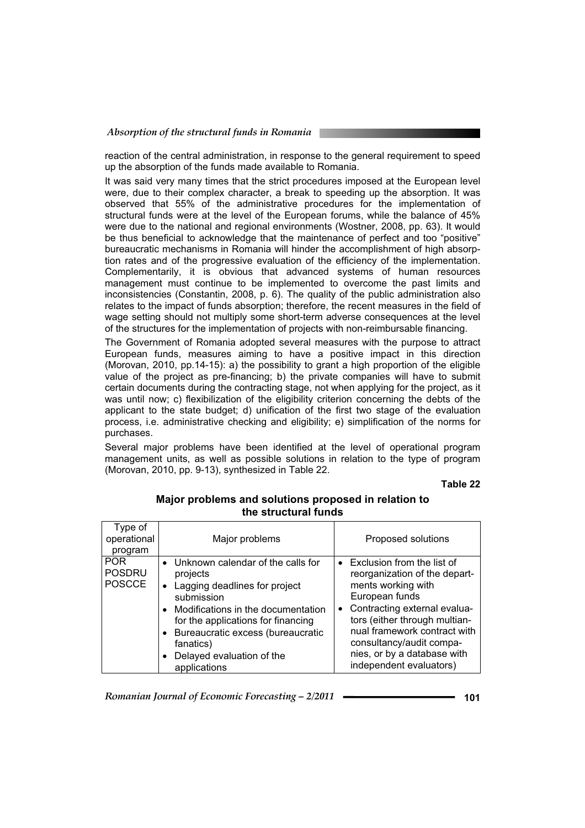reaction of the central administration, in response to the general requirement to speed up the absorption of the funds made available to Romania.

It was said very many times that the strict procedures imposed at the European level were, due to their complex character, a break to speeding up the absorption. It was observed that 55% of the administrative procedures for the implementation of structural funds were at the level of the European forums, while the balance of 45% were due to the national and regional environments (Wostner, 2008, pp. 63). It would be thus beneficial to acknowledge that the maintenance of perfect and too "positive" bureaucratic mechanisms in Romania will hinder the accomplishment of high absorption rates and of the progressive evaluation of the efficiency of the implementation. Complementarily, it is obvious that advanced systems of human resources management must continue to be implemented to overcome the past limits and inconsistencies (Constantin, 2008, p. 6). The quality of the public administration also relates to the impact of funds absorption; therefore, the recent measures in the field of wage setting should not multiply some short-term adverse consequences at the level of the structures for the implementation of projects with non-reimbursable financing.

The Government of Romania adopted several measures with the purpose to attract European funds, measures aiming to have a positive impact in this direction (Morovan, 2010, pp.14-15): a) the possibility to grant a high proportion of the eligible value of the project as pre-financing; b) the private companies will have to submit certain documents during the contracting stage, not when applying for the project, as it was until now; c) flexibilization of the eligibility criterion concerning the debts of the applicant to the state budget; d) unification of the first two stage of the evaluation process, i.e. administrative checking and eligibility; e) simplification of the norms for purchases.

Several major problems have been identified at the level of operational program management units, as well as possible solutions in relation to the type of program (Morovan, 2010, pp. 9-13), synthesized in Table 22.

#### **Table 22**

| Type of<br>operational<br>program            | Major problems                                                                                                                                                                                                                                                                                      | Proposed solutions                                                                                                                                                                                                                                                                             |
|----------------------------------------------|-----------------------------------------------------------------------------------------------------------------------------------------------------------------------------------------------------------------------------------------------------------------------------------------------------|------------------------------------------------------------------------------------------------------------------------------------------------------------------------------------------------------------------------------------------------------------------------------------------------|
| <b>POR</b><br><b>POSDRU</b><br><b>POSCCE</b> | • Unknown calendar of the calls for<br>projects<br>Lagging deadlines for project<br>$\bullet$<br>submission<br>Modifications in the documentation<br>$\bullet$<br>for the applications for financing<br>Bureaucratic excess (bureaucratic<br>fanatics)<br>Delayed evaluation of the<br>applications | • Exclusion from the list of<br>reorganization of the depart-<br>ments working with<br>European funds<br>• Contracting external evalua-<br>tors (either through multian-<br>nual framework contract with<br>consultancy/audit compa-<br>nies, or by a database with<br>independent evaluators) |

# **Major problems and solutions proposed in relation to the structural funds**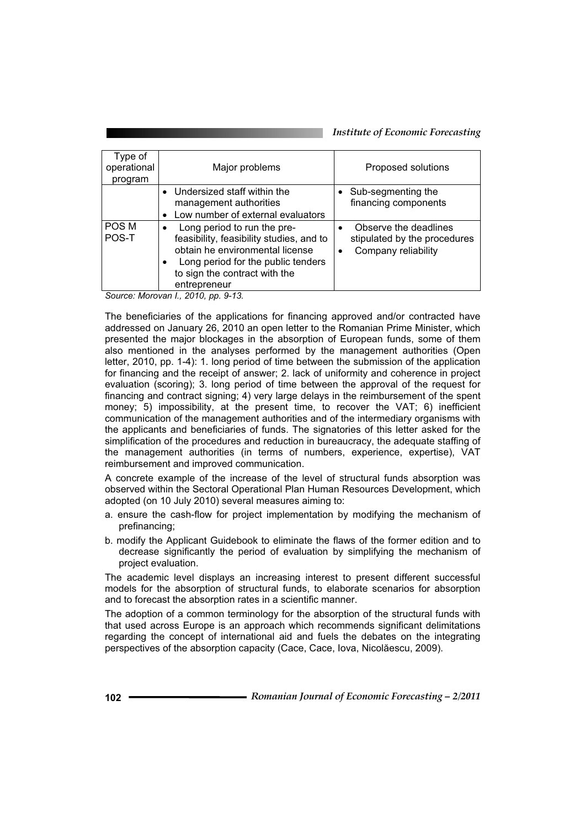| Type of<br>operational<br>program | Major problems                                                                                                                                                                                                              | Proposed solutions                                                                        |
|-----------------------------------|-----------------------------------------------------------------------------------------------------------------------------------------------------------------------------------------------------------------------------|-------------------------------------------------------------------------------------------|
|                                   | • Undersized staff within the<br>management authorities<br>Low number of external evaluators                                                                                                                                | Sub-segmenting the<br>financing components                                                |
| POS M<br>POS-T                    | Long period to run the pre-<br>$\bullet$<br>feasibility, feasibility studies, and to<br>obtain he environmental license<br>Long period for the public tenders<br>$\bullet$<br>to sign the contract with the<br>entrepreneur | Observe the deadlines<br>$\bullet$<br>stipulated by the procedures<br>Company reliability |

*Source: Morovan I., 2010, pp. 9-13.* 

The beneficiaries of the applications for financing approved and/or contracted have addressed on January 26, 2010 an open letter to the Romanian Prime Minister, which presented the major blockages in the absorption of European funds, some of them also mentioned in the analyses performed by the management authorities (Open letter, 2010, pp. 1-4): 1. long period of time between the submission of the application for financing and the receipt of answer; 2. lack of uniformity and coherence in project evaluation (scoring); 3. long period of time between the approval of the request for financing and contract signing; 4) very large delays in the reimbursement of the spent money; 5) impossibility, at the present time, to recover the VAT; 6) inefficient communication of the management authorities and of the intermediary organisms with the applicants and beneficiaries of funds. The signatories of this letter asked for the simplification of the procedures and reduction in bureaucracy, the adequate staffing of the management authorities (in terms of numbers, experience, expertise), VAT reimbursement and improved communication.

A concrete example of the increase of the level of structural funds absorption was observed within the Sectoral Operational Plan Human Resources Development, which adopted (on 10 July 2010) several measures aiming to:

- a. ensure the cash-flow for project implementation by modifying the mechanism of prefinancing;
- b. modify the Applicant Guidebook to eliminate the flaws of the former edition and to decrease significantly the period of evaluation by simplifying the mechanism of project evaluation.

The academic level displays an increasing interest to present different successful models for the absorption of structural funds, to elaborate scenarios for absorption and to forecast the absorption rates in a scientific manner.

The adoption of a common terminology for the absorption of the structural funds with that used across Europe is an approach which recommends significant delimitations regarding the concept of international aid and fuels the debates on the integrating perspectives of the absorption capacity (Cace, Cace, Iova, Nicolăescu, 2009).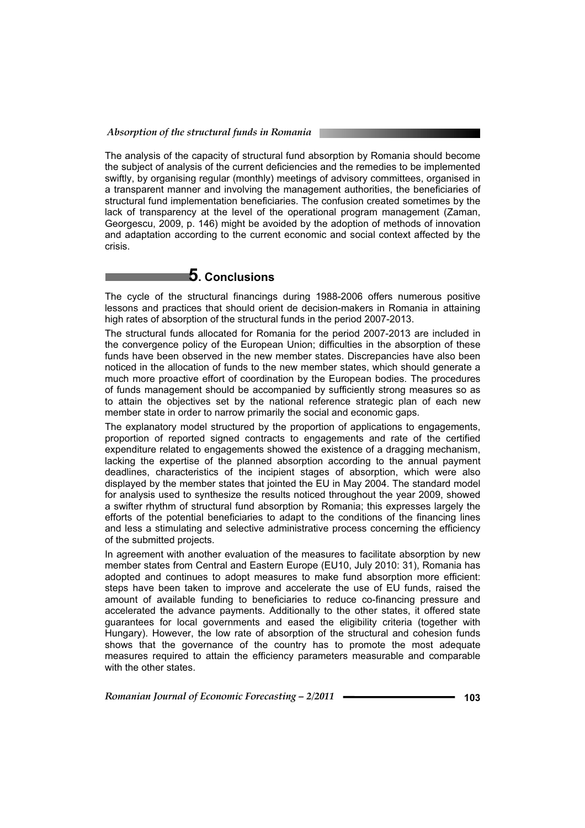The analysis of the capacity of structural fund absorption by Romania should become the subject of analysis of the current deficiencies and the remedies to be implemented swiftly, by organising regular (monthly) meetings of advisory committees, organised in a transparent manner and involving the management authorities, the beneficiaries of structural fund implementation beneficiaries. The confusion created sometimes by the lack of transparency at the level of the operational program management (Zaman, Georgescu, 2009, p. 146) might be avoided by the adoption of methods of innovation and adaptation according to the current economic and social context affected by the crisis.

# **5. Conclusions**

The cycle of the structural financings during 1988-2006 offers numerous positive lessons and practices that should orient de decision-makers in Romania in attaining high rates of absorption of the structural funds in the period 2007-2013.

The structural funds allocated for Romania for the period 2007-2013 are included in the convergence policy of the European Union; difficulties in the absorption of these funds have been observed in the new member states. Discrepancies have also been noticed in the allocation of funds to the new member states, which should generate a much more proactive effort of coordination by the European bodies. The procedures of funds management should be accompanied by sufficiently strong measures so as to attain the objectives set by the national reference strategic plan of each new member state in order to narrow primarily the social and economic gaps.

The explanatory model structured by the proportion of applications to engagements, proportion of reported signed contracts to engagements and rate of the certified expenditure related to engagements showed the existence of a dragging mechanism, lacking the expertise of the planned absorption according to the annual payment deadlines, characteristics of the incipient stages of absorption, which were also displayed by the member states that jointed the EU in May 2004. The standard model for analysis used to synthesize the results noticed throughout the year 2009, showed a swifter rhythm of structural fund absorption by Romania; this expresses largely the efforts of the potential beneficiaries to adapt to the conditions of the financing lines and less a stimulating and selective administrative process concerning the efficiency of the submitted projects.

In agreement with another evaluation of the measures to facilitate absorption by new member states from Central and Eastern Europe (EU10, July 2010: 31), Romania has adopted and continues to adopt measures to make fund absorption more efficient: steps have been taken to improve and accelerate the use of EU funds, raised the amount of available funding to beneficiaries to reduce co-financing pressure and accelerated the advance payments. Additionally to the other states, it offered state guarantees for local governments and eased the eligibility criteria (together with Hungary). However, the low rate of absorption of the structural and cohesion funds shows that the governance of the country has to promote the most adequate measures required to attain the efficiency parameters measurable and comparable with the other states.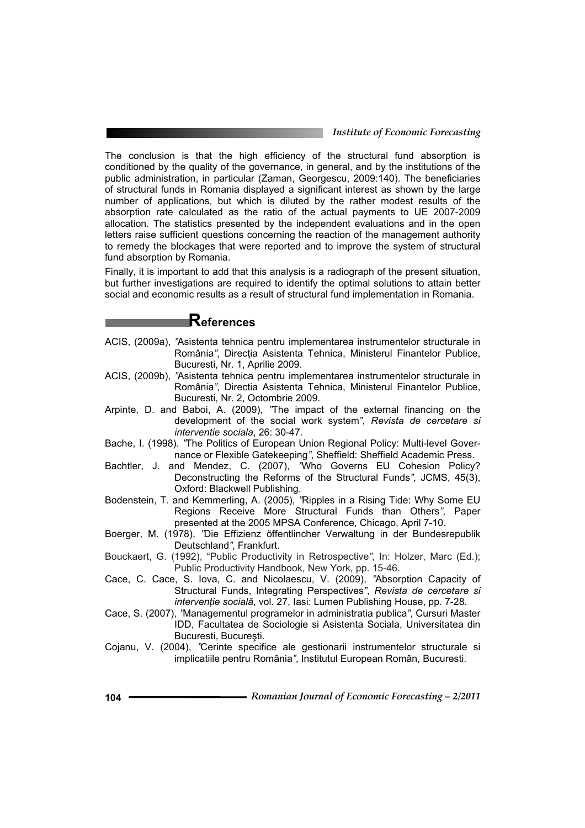#### *Institute of Economic Forecasting*

The conclusion is that the high efficiency of the structural fund absorption is conditioned by the quality of the governance, in general, and by the institutions of the public administration, in particular (Zaman, Georgescu, 2009:140). The beneficiaries of structural funds in Romania displayed a significant interest as shown by the large number of applications, but which is diluted by the rather modest results of the absorption rate calculated as the ratio of the actual payments to UE 2007-2009 allocation. The statistics presented by the independent evaluations and in the open letters raise sufficient questions concerning the reaction of the management authority to remedy the blockages that were reported and to improve the system of structural fund absorption by Romania.

Finally, it is important to add that this analysis is a radiograph of the present situation, but further investigations are required to identify the optimal solutions to attain better social and economic results as a result of structural fund implementation in Romania.

# **References**

- ACIS, (2009a), *"*Asistenta tehnica pentru implementarea instrumentelor structurale in România<sup>"</sup>, Direcția Asistenta Tehnica, Ministerul Finantelor Publice, Bucuresti, Nr. 1, Aprilie 2009.
- ACIS, (2009b), *"*Asistenta tehnica pentru implementarea instrumentelor structurale in România*"*, Directia Asistenta Tehnica, Ministerul Finantelor Publice, Bucuresti, Nr. 2, Octombrie 2009.
- Arpinte, D. and Baboi, A. (2009), *"*The impact of the external financing on the development of the social work system*"*, *Revista de cercetare si interventie sociala*, 26: 30-47.
- Bache, I. (1998). *"*The Politics of European Union Regional Policy: Multi-level Governance or Flexible Gatekeeping*"*, Sheffield: Sheffield Academic Press.
- Bachtler, J. and Mendez, C. (2007), *"*Who Governs EU Cohesion Policy? Deconstructing the Reforms of the Structural Funds*"*, JCMS, 45(3), Oxford: Blackwell Publishing.
- Bodenstein, T. and Kemmerling, A. (2005), *"*Ripples in a Rising Tide: Why Some EU Regions Receive More Structural Funds than Others*"*, Paper presented at the 2005 MPSA Conference, Chicago, April 7-10.
- Boerger, M. (1978), *"*Die Effizienz öffentlincher Verwaltung in der Bundesrepublik Deutschland*"*, Frankfurt.
- Bouckaert, G. (1992), "Public Productivity in Retrospective*"*, In: Holzer, Marc (Ed.); Public Productivity Handbook, New York, pp. 15-46.
- Cace, C. Cace, S. Iova, C. and Nicolaescu, V. (2009), *"*Absorption Capacity of Structural Funds, Integrating Perspectives*"*, *Revista de cercetare si intervenție socială*, vol. 27, Iasi: Lumen Publishing House, pp. 7-28.
- Cace, S. (2007), *"*Managementul programelor in administratia publica*"*, Cursuri Master IDD, Facultatea de Sociologie si Asistenta Sociala, Universitatea din Bucuresti, București.
- Cojanu, V. (2004), *"*Cerinte specifice ale gestionarii instrumentelor structurale si implicatiile pentru România*"*, Institutul European Român, Bucuresti.